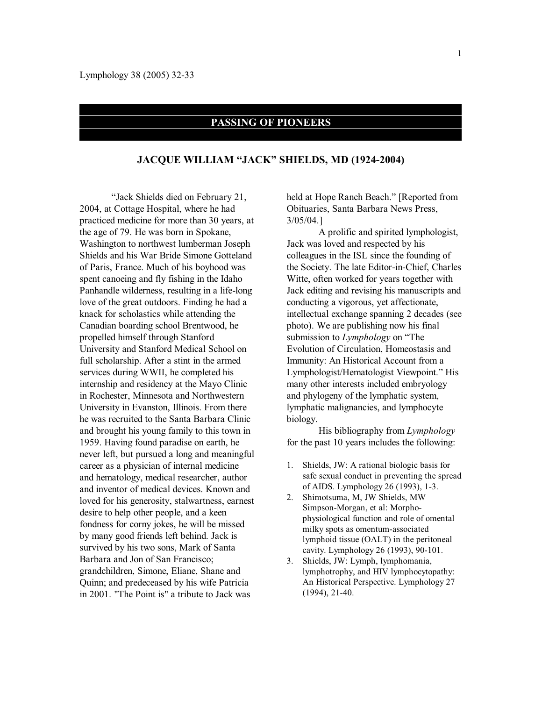## **PASSING OF PIONEERS**

## **JACQUE WILLIAM "JACK" SHIELDS, MD (1924-2004)**

"Jack Shields died on February 21, 2004, at Cottage Hospital, where he had practiced medicine for more than 30 years, at the age of 79. He was born in Spokane, Washington to northwest lumberman Joseph Shields and his War Bride Simone Gotteland of Paris, France. Much of his boyhood was spent canoeing and fly fishing in the Idaho Panhandle wilderness, resulting in a life-long love of the great outdoors. Finding he had a knack for scholastics while attending the Canadian boarding school Brentwood, he propelled himself through Stanford University and Stanford Medical School on full scholarship. After a stint in the armed services during WWII, he completed his internship and residency at the Mayo Clinic in Rochester, Minnesota and Northwestern University in Evanston, Illinois. From there he was recruited to the Santa Barbara Clinic and brought his young family to this town in 1959. Having found paradise on earth, he never left, but pursued a long and meaningful career as a physician of internal medicine and hematology, medical researcher, author and inventor of medical devices. Known and loved for his generosity, stalwartness, earnest desire to help other people, and a keen fondness for corny jokes, he will be missed by many good friends left behind. Jack is survived by his two sons, Mark of Santa Barbara and Jon of San Francisco; grandchildren, Simone, Eliane, Shane and Quinn; and predeceased by his wife Patricia in 2001. "The Point is" a tribute to Jack was

held at Hope Ranch Beach." [Reported from Obituaries, Santa Barbara News Press, 3/05/04.]

A prolific and spirited lymphologist, Jack was loved and respected by his colleagues in the ISL since the founding of the Society. The late Editor-in-Chief, Charles Witte, often worked for years together with Jack editing and revising his manuscripts and conducting a vigorous, yet affectionate, intellectual exchange spanning 2 decades (see photo). We are publishing now his final submission to *Lymphology* on "The Evolution of Circulation, Homeostasis and Immunity: An Historical Account from a Lymphologist/Hematologist Viewpoint." His many other interests included embryology and phylogeny of the lymphatic system, lymphatic malignancies, and lymphocyte biology.

His bibliography from *Lymphology* for the past 10 years includes the following:

- 1. Shields, JW: A rational biologic basis for safe sexual conduct in preventing the spread of AIDS. Lymphology 26 (1993), 1-3.
- 2. Shimotsuma, M, JW Shields, MW Simpson-Morgan, et al: Morphophysiological function and role of omental milky spots as omentum-associated lymphoid tissue (OALT) in the peritoneal cavity. Lymphology 26 (1993), 90-101.
- 3. Shields, JW: Lymph, lymphomania, lymphotrophy, and HIV lymphocytopathy: An Historical Perspective. Lymphology 27 (1994), 21-40.